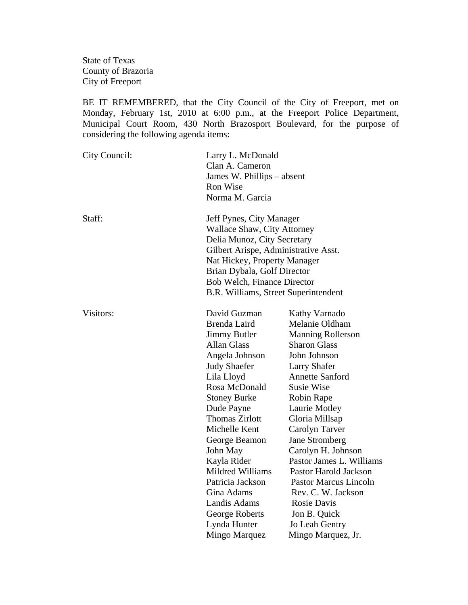State of Texas County of Brazoria City of Freeport

BE IT REMEMBERED, that the City Council of the City of Freeport, met on Monday, February 1st, 2010 at 6:00 p.m., at the Freeport Police Department, Municipal Court Room, 430 North Brazosport Boulevard, for the purpose of considering the following agenda items:

| City Council: | Larry L. McDonald<br>Clan A. Cameron<br>James W. Phillips – absent<br>Ron Wise<br>Norma M. Garcia                                                                                                                                                                                                                                                                    |                                                                                                                                                                                                                                                                                                                                                                                                                        |
|---------------|----------------------------------------------------------------------------------------------------------------------------------------------------------------------------------------------------------------------------------------------------------------------------------------------------------------------------------------------------------------------|------------------------------------------------------------------------------------------------------------------------------------------------------------------------------------------------------------------------------------------------------------------------------------------------------------------------------------------------------------------------------------------------------------------------|
| Staff:        | Jeff Pynes, City Manager<br>Wallace Shaw, City Attorney<br>Delia Munoz, City Secretary<br>Gilbert Arispe, Administrative Asst.<br>Nat Hickey, Property Manager<br>Brian Dybala, Golf Director<br>Bob Welch, Finance Director<br>B.R. Williams, Street Superintendent                                                                                                 |                                                                                                                                                                                                                                                                                                                                                                                                                        |
| Visitors:     | David Guzman<br>Brenda Laird<br><b>Jimmy Butler</b><br><b>Allan Glass</b><br>Angela Johnson<br><b>Judy Shaefer</b><br>Lila Lloyd<br>Rosa McDonald<br><b>Stoney Burke</b><br>Dude Payne<br><b>Thomas Zirlott</b><br>Michelle Kent<br>George Beamon<br>John May<br>Kayla Rider<br>Mildred Williams<br>Patricia Jackson<br>Gina Adams<br>Landis Adams<br>George Roberts | Kathy Varnado<br>Melanie Oldham<br><b>Manning Rollerson</b><br><b>Sharon Glass</b><br>John Johnson<br><b>Larry Shafer</b><br><b>Annette Sanford</b><br><b>Susie Wise</b><br>Robin Rape<br>Laurie Motley<br>Gloria Millsap<br>Carolyn Tarver<br>Jane Stromberg<br>Carolyn H. Johnson<br>Pastor James L. Williams<br>Pastor Harold Jackson<br>Pastor Marcus Lincoln<br>Rev. C. W. Jackson<br>Rosie Davis<br>Jon B. Quick |
|               | Lynda Hunter<br>Mingo Marquez                                                                                                                                                                                                                                                                                                                                        | Jo Leah Gentry<br>Mingo Marquez, Jr.                                                                                                                                                                                                                                                                                                                                                                                   |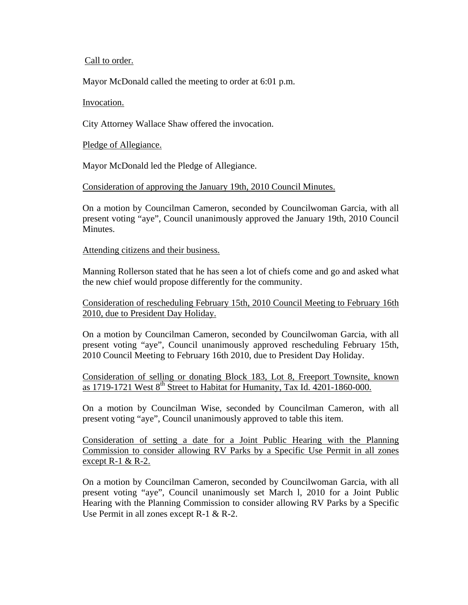## Call to order.

Mayor McDonald called the meeting to order at 6:01 p.m.

## Invocation.

City Attorney Wallace Shaw offered the invocation.

Pledge of Allegiance.

Mayor McDonald led the Pledge of Allegiance.

Consideration of approving the January 19th, 2010 Council Minutes.

On a motion by Councilman Cameron, seconded by Councilwoman Garcia, with all present voting "aye", Council unanimously approved the January 19th, 2010 Council Minutes.

Attending citizens and their business.

Manning Rollerson stated that he has seen a lot of chiefs come and go and asked what the new chief would propose differently for the community.

Consideration of rescheduling February 15th, 2010 Council Meeting to February 16th 2010, due to President Day Holiday.

On a motion by Councilman Cameron, seconded by Councilwoman Garcia, with all present voting "aye", Council unanimously approved rescheduling February 15th, 2010 Council Meeting to February 16th 2010, due to President Day Holiday.

Consideration of selling or donating Block 183, Lot 8, Freeport Townsite, known as 1719-1721 West 8<sup>th</sup> Street to Habitat for Humanity, Tax Id. 4201-1860-000.

On a motion by Councilman Wise, seconded by Councilman Cameron, with all present voting "aye", Council unanimously approved to table this item.

Consideration of setting a date for a Joint Public Hearing with the Planning Commission to consider allowing RV Parks by a Specific Use Permit in all zones except  $R-1 & R-2$ .

On a motion by Councilman Cameron, seconded by Councilwoman Garcia, with all present voting "aye", Council unanimously set March l, 2010 for a Joint Public Hearing with the Planning Commission to consider allowing RV Parks by a Specific Use Permit in all zones except R-1 & R-2.